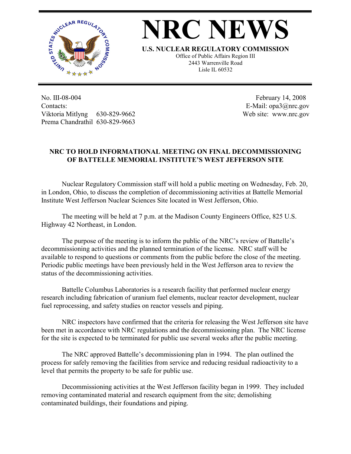

## **NRC NEWS**

**U.S. NUCLEAR REGULATORY COMMISSION**

Office of Public Affairs Region III 2443 Warrenville Road Lisle IL 60532

No. III-08-004 Contacts: Viktoria Mitlyng 630-829-9662 Prema Chandrathil 630-829-9663

 February 14, 2008 E-Mail: opa3@nrc.gov Web site: www.nrc.gov

## **NRC TO HOLD INFORMATIONAL MEETING ON FINAL DECOMMISSIONING OF BATTELLE MEMORIAL INSTITUTE'S WEST JEFFERSON SITE**

 Nuclear Regulatory Commission staff will hold a public meeting on Wednesday, Feb. 20, in London, Ohio, to discuss the completion of decommissioning activities at Battelle Memorial Institute West Jefferson Nuclear Sciences Site located in West Jefferson, Ohio.

 The meeting will be held at 7 p.m. at the Madison County Engineers Office, 825 U.S. Highway 42 Northeast, in London.

 The purpose of the meeting is to inform the public of the NRC's review of Battelle's decommissioning activities and the planned termination of the license. NRC staff will be available to respond to questions or comments from the public before the close of the meeting. Periodic public meetings have been previously held in the West Jefferson area to review the status of the decommissioning activities.

 Battelle Columbus Laboratories is a research facility that performed nuclear energy research including fabrication of uranium fuel elements, nuclear reactor development, nuclear fuel reprocessing, and safety studies on reactor vessels and piping.

 NRC inspectors have confirmed that the criteria for releasing the West Jefferson site have been met in accordance with NRC regulations and the decommissioning plan. The NRC license for the site is expected to be terminated for public use several weeks after the public meeting.

 The NRC approved Battelle's decommissioning plan in 1994. The plan outlined the process for safely removing the facilities from service and reducing residual radioactivity to a level that permits the property to be safe for public use.

 Decommissioning activities at the West Jefferson facility began in 1999. They included removing contaminated material and research equipment from the site; demolishing contaminated buildings, their foundations and piping.